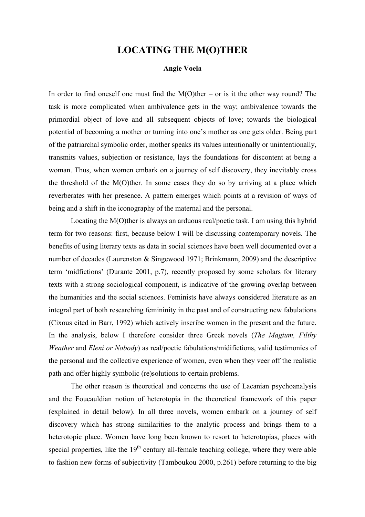## **LOCATING THE M(O)THER**

## **Angie Voela**

In order to find oneself one must find the  $M(O)$ ther – or is it the other way round? The task is more complicated when ambivalence gets in the way; ambivalence towards the primordial object of love and all subsequent objects of love; towards the biological potential of becoming a mother or turning into one's mother as one gets older. Being part of the patriarchal symbolic order, mother speaks its values intentionally or unintentionally, transmits values, subjection or resistance, lays the foundations for discontent at being a woman. Thus, when women embark on a journey of self discovery, they inevitably cross the threshold of the M(O)ther. In some cases they do so by arriving at a place which reverberates with her presence. A pattern emerges which points at a revision of ways of being and a shift in the iconography of the maternal and the personal.

Locating the M(O)ther is always an arduous real/poetic task. I am using this hybrid term for two reasons: first, because below I will be discussing contemporary novels. The benefits of using literary texts as data in social sciences have been well documented over a number of decades (Laurenston & Singewood 1971; Brinkmann, 2009) and the descriptive term 'midfictions' (Durante 2001, p.7), recently proposed by some scholars for literary texts with a strong sociological component, is indicative of the growing overlap between the humanities and the social sciences. Feminists have always considered literature as an integral part of both researching femininity in the past and of constructing new fabulations (Cixous cited in Barr, 1992) which actively inscribe women in the present and the future. In the analysis, below I therefore consider three Greek novels (*The Magium, Filthy Weather* and *Eleni or Nobody*) as real/poetic fabulations/midifictions, valid testimonies of the personal and the collective experience of women, even when they veer off the realistic path and offer highly symbolic (re)solutions to certain problems.

The other reason is theoretical and concerns the use of Lacanian psychoanalysis and the Foucauldian notion of heterotopia in the theoretical framework of this paper (explained in detail below). In all three novels, women embark on a journey of self discovery which has strong similarities to the analytic process and brings them to a heterotopic place. Women have long been known to resort to heterotopias, places with special properties, like the  $19<sup>th</sup>$  century all-female teaching college, where they were able to fashion new forms of subjectivity (Tamboukou 2000, p.261) before returning to the big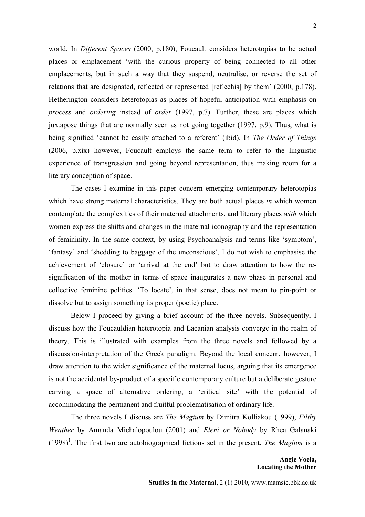world. In *Different Spaces* (2000, p.180), Foucault considers heterotopias to be actual places or emplacement 'with the curious property of being connected to all other emplacements, but in such a way that they suspend, neutralise, or reverse the set of relations that are designated, reflected or represented [reflechis] by them' (2000, p.178). Hetherington considers heterotopias as places of hopeful anticipation with emphasis on *process* and *ordering* instead of *order* (1997, p.7). Further, these are places which juxtapose things that are normally seen as not going together (1997, p.9). Thus, what is being signified 'cannot be easily attached to a referent' (ibid). In *The Order of Things* (2006, p.xix) however, Foucault employs the same term to refer to the linguistic experience of transgression and going beyond representation, thus making room for a literary conception of space.

The cases I examine in this paper concern emerging contemporary heterotopias which have strong maternal characteristics. They are both actual places *in* which women contemplate the complexities of their maternal attachments, and literary places *with* which women express the shifts and changes in the maternal iconography and the representation of femininity. In the same context, by using Psychoanalysis and terms like 'symptom', 'fantasy' and 'shedding to baggage of the unconscious', I do not wish to emphasise the achievement of 'closure' or 'arrival at the end' but to draw attention to how the resignification of the mother in terms of space inaugurates a new phase in personal and collective feminine politics. 'To locate', in that sense, does not mean to pin-point or dissolve but to assign something its proper (poetic) place.

Below I proceed by giving a brief account of the three novels. Subsequently, I discuss how the Foucauldian heterotopia and Lacanian analysis converge in the realm of theory. This is illustrated with examples from the three novels and followed by a discussion-interpretation of the Greek paradigm. Beyond the local concern, however, I draw attention to the wider significance of the maternal locus, arguing that its emergence is not the accidental by-product of a specific contemporary culture but a deliberate gesture carving a space of alternative ordering, a 'critical site' with the potential of accommodating the permanent and fruitful problematisation of ordinary life.

The three novels I discuss are *The Magium* by Dimitra Kolliakou (1999), *Filthy Weather* by Amanda Michalopoulou (2001) and *Eleni or Nobody* by Rhea Galanaki  $(1998)^1$ . The first two are autobiographical fictions set in the present. *The Magium* is a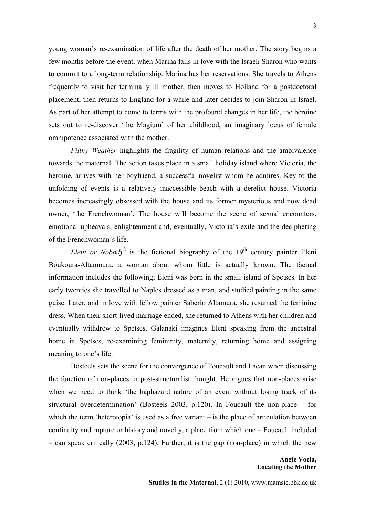young woman's re-examination of life after the death of her mother. The story begins a few months before the event, when Marina falls in love with the Israeli Sharon who wants to commit to a long-term relationship. Marina has her reservations. She travels to Athens frequently to visit her terminally ill mother, then moves to Holland for a postdoctoral placement, then returns to England for a while and later decides to join Sharon in Israel. As part of her attempt to come to terms with the profound changes in her life, the heroine sets out to re-discover 'the Magium' of her childhood, an imaginary locus of female omnipotence associated with the mother.

*Filthy Weather* highlights the fragility of human relations and the ambivalence towards the maternal. The action takes place in a small holiday island where Victoria, the heroine, arrives with her boyfriend, a successful novelist whom he admires. Key to the unfolding of events is a relatively inaccessible beach with a derelict house. Victoria becomes increasingly obsessed with the house and its former mysterious and now dead owner, 'the Frenchwoman'. The house will become the scene of sexual encounters, emotional upheavals, enlightenment and, eventually, Victoria's exile and the deciphering of the Frenchwoman's life.

*Eleni or Nobody*<sup>2</sup> is the fictional biography of the  $19<sup>th</sup>$  century painter Eleni Boukoura-Altamoura, a woman about whom little is actually known. The factual information includes the following; Eleni was born in the small island of Spetses. In her early twenties she travelled to Naples dressed as a man, and studied painting in the same guise. Later, and in love with fellow painter Saberio Altamura, she resumed the feminine dress. When their short-lived marriage ended, she returned to Athens with her children and eventually withdrew to Spetses. Galanaki imagines Eleni speaking from the ancestral home in Spetses, re-examining femininity, maternity, returning home and assigning meaning to one's life.

Bosteels sets the scene for the convergence of Foucault and Lacan when discussing the function of non-places in post-structuralist thought. He argues that non-places arise when we need to think 'the haphazard nature of an event without losing track of its structural overdetermination' (Bosteels 2003, p.120). In Foucault the non-place – for which the term 'heterotopia' is used as a free variant – is the place of articulation between continuity and rupture or history and novelty, a place from which one – Foucault included – can speak critically (2003, p.124). Further, it is the gap (non-place) in which the new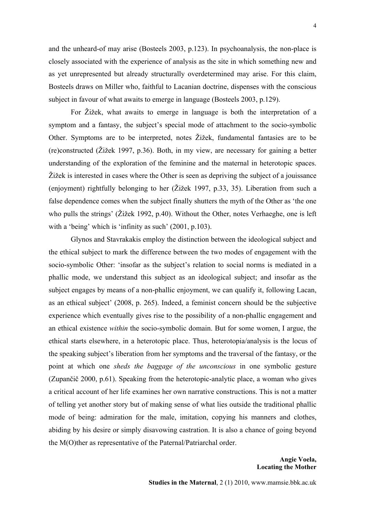and the unheard-of may arise (Bosteels 2003, p.123). In psychoanalysis, the non-place is closely associated with the experience of analysis as the site in which something new and as yet unrepresented but already structurally overdetermined may arise. For this claim, Bosteels draws on Miller who, faithful to Lacanian doctrine, dispenses with the conscious subject in favour of what awaits to emerge in language (Bosteels 2003, p.129).

For Žižek, what awaits to emerge in language is both the interpretation of a symptom and a fantasy, the subject's special mode of attachment to the socio-symbolic Other. Symptoms are to be interpreted, notes Žižek, fundamental fantasies are to be (re)constructed (Žižek 1997, p.36). Both, in my view, are necessary for gaining a better understanding of the exploration of the feminine and the maternal in heterotopic spaces. Žižek is interested in cases where the Other is seen as depriving the subject of a jouissance (enjoyment) rightfully belonging to her (Žižek 1997, p.33, 35). Liberation from such a false dependence comes when the subject finally shutters the myth of the Other as 'the one who pulls the strings' (Žižek 1992, p.40). Without the Other, notes Verhaeghe, one is left with a 'being' which is 'infinity as such' (2001, p.103).

Glynos and Stavrakakis employ the distinction between the ideological subject and the ethical subject to mark the difference between the two modes of engagement with the socio-symbolic Other: 'insofar as the subject's relation to social norms is mediated in a phallic mode, we understand this subject as an ideological subject; and insofar as the subject engages by means of a non-phallic enjoyment, we can qualify it, following Lacan, as an ethical subject' (2008, p. 265). Indeed, a feminist concern should be the subjective experience which eventually gives rise to the possibility of a non-phallic engagement and an ethical existence *within* the socio-symbolic domain. But for some women, I argue, the ethical starts elsewhere, in a heterotopic place. Thus, heterotopia/analysis is the locus of the speaking subject's liberation from her symptoms and the traversal of the fantasy, or the point at which one *sheds the baggage of the unconscious* in one symbolic gesture (Zupančič 2000, p.61). Speaking from the heterotopic-analytic place, a woman who gives a critical account of her life examines her own narrative constructions. This is not a matter of telling yet another story but of making sense of what lies outside the traditional phallic mode of being: admiration for the male, imitation, copying his manners and clothes, abiding by his desire or simply disavowing castration. It is also a chance of going beyond the M(O)ther as representative of the Paternal/Patriarchal order.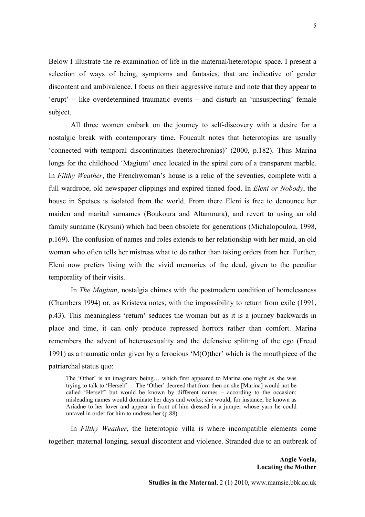Below I illustrate the re-examination of life in the maternal/heterotopic space. I present a selection of ways of being, symptoms and fantasies, that are indicative of gender discontent and ambivalence. I focus on their aggressive nature and note that they appear to 'erupt' – like overdetermined traumatic events – and disturb an 'unsuspecting' female subject.

All three women embark on the journey to self-discovery with a desire for a nostalgic break with contemporary time. Foucault notes that heterotopias are usually 'connected with temporal discontinuities (heterochronias)' (2000, p.182). Thus Marina longs for the childhood 'Magium' once located in the spiral core of a transparent marble. In *Filthy Weather*, the Frenchwoman's house is a relic of the seventies, complete with a full wardrobe, old newspaper clippings and expired tinned food. In *Eleni or Nobody*, the house in Spetses is isolated from the world. From there Eleni is free to denounce her maiden and marital surnames (Boukoura and Altamoura), and revert to using an old family surname (Krysini) which had been obsolete for generations (Michalopoulou, 1998, p.169). The confusion of names and roles extends to her relationship with her maid, an old woman who often tells her mistress what to do rather than taking orders from her. Further, Eleni now prefers living with the vivid memories of the dead, given to the peculiar temporality of their visits.

In *The Magium*, nostalgia chimes with the postmodern condition of homelessness (Chambers 1994) or, as Kristeva notes, with the impossibility to return from exile (1991, p.43). This meaningless 'return' seduces the woman but as it is a journey backwards in place and time, it can only produce repressed horrors rather than comfort. Marina remembers the advent of heterosexuality and the defensive splitting of the ego (Freud 1991) as a traumatic order given by a ferocious 'M(O)ther' which is the mouthpiece of the patriarchal status quo:

The 'Other' is an imaginary being… which first appeared to Marina one night as she was trying to talk to 'Herself'… The 'Other' decreed that from then on she [Marina] would not be called 'Herself' but would be known by different names – according to the occasion; misleading names would dominate her days and works; she would, for instance, be known as Ariadne to her lover and appear in front of him dressed in a jumper whose yarn he could unravel in order for him to undress her (p.88).

In *Filthy Weather*, the heterotopic villa is where incompatible elements come together: maternal longing, sexual discontent and violence. Stranded due to an outbreak of

> **Angie Voela, Locating the Mother**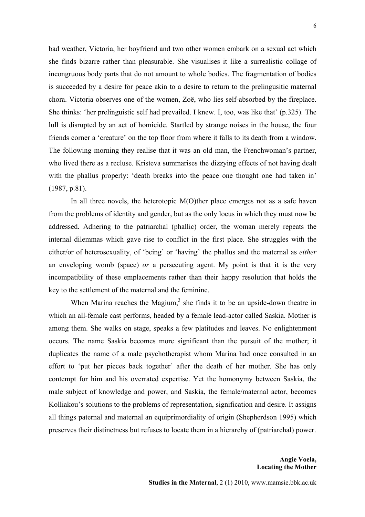bad weather, Victoria, her boyfriend and two other women embark on a sexual act which she finds bizarre rather than pleasurable. She visualises it like a surrealistic collage of incongruous body parts that do not amount to whole bodies. The fragmentation of bodies is succeeded by a desire for peace akin to a desire to return to the prelingusitic maternal chora. Victoria observes one of the women, Zoë, who lies self-absorbed by the fireplace. She thinks: 'her prelinguistic self had prevailed. I knew. I, too, was like that' (p.325). The lull is disrupted by an act of homicide. Startled by strange noises in the house, the four friends corner a 'creature' on the top floor from where it falls to its death from a window. The following morning they realise that it was an old man, the Frenchwoman's partner, who lived there as a recluse. Kristeva summarises the dizzying effects of not having dealt with the phallus properly: 'death breaks into the peace one thought one had taken in' (1987, p.81).

In all three novels, the heterotopic  $M(O)$ ther place emerges not as a safe haven from the problems of identity and gender, but as the only locus in which they must now be addressed. Adhering to the patriarchal (phallic) order, the woman merely repeats the internal dilemmas which gave rise to conflict in the first place. She struggles with the either/or of heterosexuality, of 'being' or 'having' the phallus and the maternal as *either* an enveloping womb (space) *or* a persecuting agent. My point is that it is the very incompatibility of these emplacements rather than their happy resolution that holds the key to the settlement of the maternal and the feminine.

When Marina reaches the Magium, $3$  she finds it to be an upside-down theatre in which an all-female cast performs, headed by a female lead-actor called Saskia. Mother is among them. She walks on stage, speaks a few platitudes and leaves. No enlightenment occurs. The name Saskia becomes more significant than the pursuit of the mother; it duplicates the name of a male psychotherapist whom Marina had once consulted in an effort to 'put her pieces back together' after the death of her mother. She has only contempt for him and his overrated expertise. Yet the homonymy between Saskia, the male subject of knowledge and power, and Saskia, the female/maternal actor, becomes Kolliakou's solutions to the problems of representation, signification and desire. It assigns all things paternal and maternal an equiprimordiality of origin (Shepherdson 1995) which preserves their distinctness but refuses to locate them in a hierarchy of (patriarchal) power.

> **Angie Voela, Locating the Mother**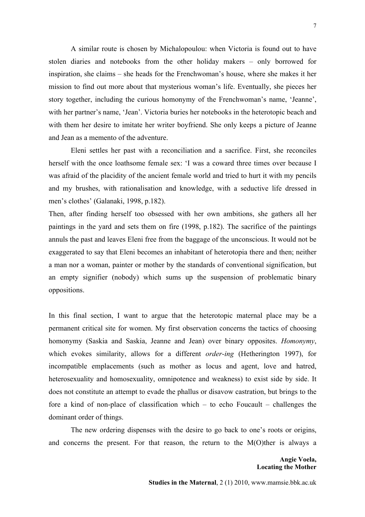A similar route is chosen by Michalopoulou: when Victoria is found out to have stolen diaries and notebooks from the other holiday makers – only borrowed for inspiration, she claims – she heads for the Frenchwoman's house, where she makes it her mission to find out more about that mysterious woman's life. Eventually, she pieces her story together, including the curious homonymy of the Frenchwoman's name, 'Jeanne', with her partner's name, 'Jean'. Victoria buries her notebooks in the heterotopic beach and with them her desire to imitate her writer boyfriend. She only keeps a picture of Jeanne and Jean as a memento of the adventure.

Eleni settles her past with a reconciliation and a sacrifice. First, she reconciles herself with the once loathsome female sex: 'I was a coward three times over because I was afraid of the placidity of the ancient female world and tried to hurt it with my pencils and my brushes, with rationalisation and knowledge, with a seductive life dressed in men's clothes' (Galanaki, 1998, p.182).

Then, after finding herself too obsessed with her own ambitions, she gathers all her paintings in the yard and sets them on fire (1998, p.182). The sacrifice of the paintings annuls the past and leaves Eleni free from the baggage of the unconscious. It would not be exaggerated to say that Eleni becomes an inhabitant of heterotopia there and then; neither a man nor a woman, painter or mother by the standards of conventional signification, but an empty signifier (nobody) which sums up the suspension of problematic binary oppositions.

In this final section, I want to argue that the heterotopic maternal place may be a permanent critical site for women. My first observation concerns the tactics of choosing homonymy (Saskia and Saskia, Jeanne and Jean) over binary opposites. *Homonymy*, which evokes similarity, allows for a different *order-ing* (Hetherington 1997), for incompatible emplacements (such as mother as locus and agent, love and hatred, heterosexuality and homosexuality, omnipotence and weakness) to exist side by side. It does not constitute an attempt to evade the phallus or disavow castration, but brings to the fore a kind of non-place of classification which – to echo Foucault – challenges the dominant order of things.

The new ordering dispenses with the desire to go back to one's roots or origins, and concerns the present. For that reason, the return to the M(O)ther is always a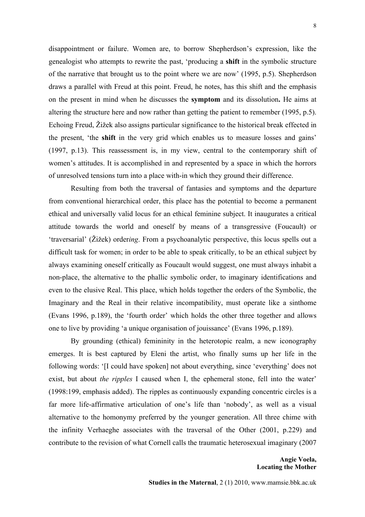disappointment or failure. Women are, to borrow Shepherdson's expression, like the genealogist who attempts to rewrite the past, 'producing a **shift** in the symbolic structure of the narrative that brought us to the point where we are now' (1995, p.5). Shepherdson draws a parallel with Freud at this point. Freud, he notes, has this shift and the emphasis on the present in mind when he discusses the **symptom** and its dissolution**.** He aims at altering the structure here and now rather than getting the patient to remember (1995, p.5). Echoing Freud, Žižek also assigns particular significance to the historical break effected in the present, 'the **shift** in the very grid which enables us to measure losses and gains' (1997, p.13). This reassessment is, in my view, central to the contemporary shift of women's attitudes. It is accomplished in and represented by a space in which the horrors of unresolved tensions turn into a place with-in which they ground their difference.

Resulting from both the traversal of fantasies and symptoms and the departure from conventional hierarchical order, this place has the potential to become a permanent ethical and universally valid locus for an ethical feminine subject. It inaugurates a critical attitude towards the world and oneself by means of a transgressive (Foucault) or 'traversarial' (Žižek) order*ing*. From a psychoanalytic perspective, this locus spells out a difficult task for women; in order to be able to speak critically, to be an ethical subject by always examining oneself critically as Foucault would suggest, one must always inhabit a non-place, the alternative to the phallic symbolic order, to imaginary identifications and even to the elusive Real. This place, which holds together the orders of the Symbolic, the Imaginary and the Real in their relative incompatibility, must operate like a sinthome (Evans 1996, p.189), the 'fourth order' which holds the other three together and allows one to live by providing 'a unique organisation of jouissance' (Evans 1996, p.189).

By grounding (ethical) femininity in the heterotopic realm, a new iconography emerges. It is best captured by Eleni the artist, who finally sums up her life in the following words: '[I could have spoken] not about everything, since 'everything' does not exist, but about *the ripples* I caused when I, the ephemeral stone, fell into the water' (1998:199, emphasis added). The ripples as continuously expanding concentric circles is a far more life-affirmative articulation of one's life than 'nobody', as well as a visual alternative to the homonymy preferred by the younger generation. All three chime with the infinity Verhaeghe associates with the traversal of the Other (2001, p.229) and contribute to the revision of what Cornell calls the traumatic heterosexual imaginary (2007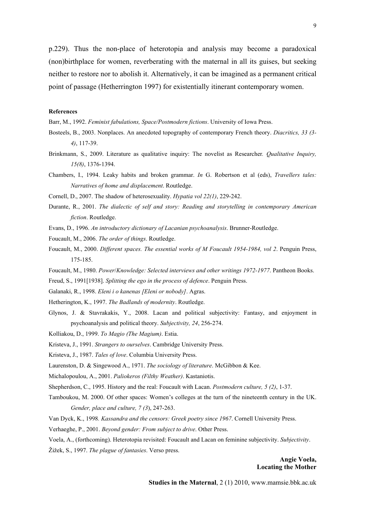p.229). Thus the non-place of heterotopia and analysis may become a paradoxical (non)birthplace for women, reverberating with the maternal in all its guises, but seeking neither to restore nor to abolish it. Alternatively, it can be imagined as a permanent critical point of passage (Hetherrington 1997) for existentially itinerant contemporary women.

## **References**

Barr, M., 1992. *Feminist fabulations, Space/Postmodern fictions*. University of Iowa Press.

- Bosteels, B., 2003. Nonplaces. An anecdoted topography of contemporary French theory. *Diacritics, 33 (3- 4)*, 117-39.
- Brinkmann, S., 2009. Literature as qualitative inquiry: The novelist as Researcher*. Qualitative Inquiry, 15(8)*, 1376-1394.
- Chambers, I., 1994. Leaky habits and broken grammar. *In* G. Robertson et al (eds), *Travellers tales: Narratives of home and displacement*. Routledge.
- Cornell, D., 2007. The shadow of heterosexuality. *Hypatia vol 22(1)*, 229-242.
- Durante, R., 2001. *The dialectic of self and story: Reading and storytelling in contemporary American fiction*. Routledge.
- Evans, D., 1996. *An introductory dictionary of Lacanian psychoanalysis*. Brunner-Routledge.
- Foucault, M., 2006. *The order of things*. Routledge.
- Foucault, M., 2000. *Different spaces. The essential works of M Foucault 1954-1984, vol 2*. Penguin Press, 175-185.
- Foucault, M., 1980. *Power*/*Knowledge: Selected interviews and other writings 1972-1977*. Pantheon Books.

Freud, S., 1991[1938]. *Splitting the ego in the process of defence*. Penguin Press.

- Galanaki, R., 1998. *Eleni i o kanenas [Eleni or nobody]*. Agras.
- Hetherington, K., 1997. *The Badlands of modernity*. Routledge.
- Glynos, J. & Stavrakakis, Y., 2008. Lacan and political subjectivity: Fantasy, and enjoyment in psychoanalysis and political theory. *Subjectivity, 24*, 256-274.

Kolliakou, D., 1999. *To Magio (The Magium)*. Estia.

Kristeva, J., 1991. *Strangers to ourselves*. Cambridge University Press.

Kristeva, J., 1987. *Tales of love*. Columbia University Press.

Laurenston, D. & Singewood A., 1971. *The sociology of literature*. McGibbon & Kee.

Michalopoulou, A., 2001. *Paliokeros (Filthy Weather)*. Kastaniotis.

- Shepherdson, C., 1995. History and the real: Foucault with Lacan. *Postmodern culture, 5 (2)*, 1-37.
- Tamboukou, M. 2000. Of other spaces: Women's colleges at the turn of the nineteenth century in the UK. *Gender, place and culture, 7 (3*), 247-263.
- Van Dyck, K., 1998*. Kassandra and the censors: Greek poetry since 1967*. Cornell University Press.
- Verhaeghe, P., 2001. *Beyond gender: From subject to drive*. Other Press.

Voela, A., (forthcoming). Heterotopia revisited: Foucault and Lacan on feminine subjectivity. *Subjectivity*.

Žižek, S., 1997. *The plague of fantasies*. Verso press.

**Angie Voela, Locating the Mother**